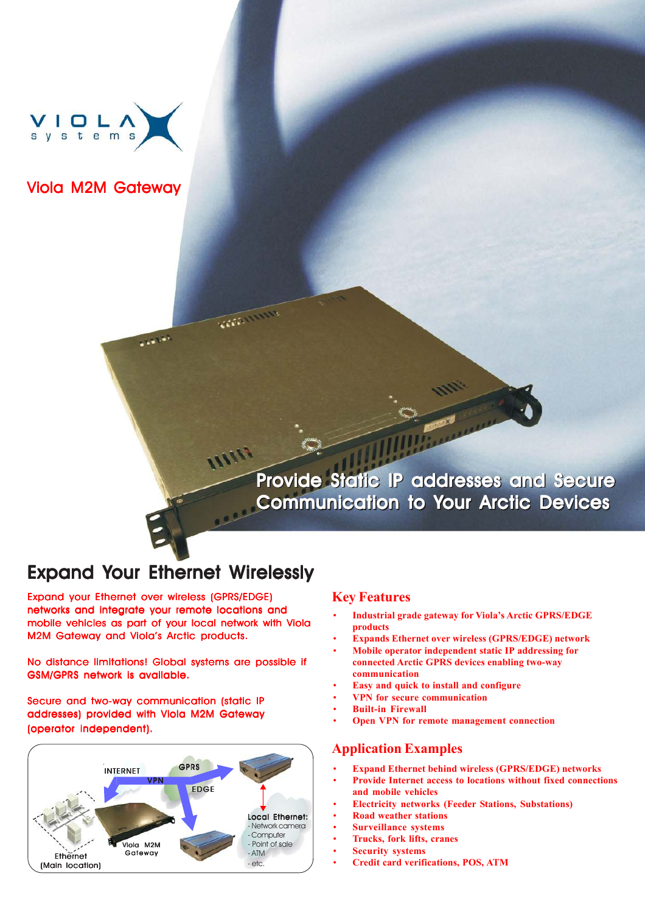

Viola M2M Gateway

**ININ** Provide Static IP addresses and Secure Provide Static IP addresses and Secure Communication to Your Arctic Devices Communication to Your Arctic Devices

# Expand Your Ethernet Wirelessly

**SAN AN** 

VEREST IN THE

Expand your Ethernet over wireless (GPRS/EDGE) networks and integrate your remote locations and mobile vehicles as part of your local network with Viola M2M Gateway and Viola's Arctic products.

No distance limitations! Global systems are possible if GSM/GPRS network is available.

Secure and two-way communication (static IP addresses) provided with Viola M2M Gateway (operator independent).



### **Key Features**

- ï **Industrial grade gateway for Viola's Arctic GPRS/EDGE products**
- ï **Expands Ethernet over wireless (GPRS/EDGE) network**
- ï **Mobile operator independent static IP addressing for connected Arctic GPRS devices enabling two-way communication**
- ï **Easy and quick to install and configure**
- ï **VPN for secure communication**
- **Built-in Firewall**
- **Open VPN for remote management connection**

### **Application Examples**

- Expand Ethernet behind wireless (GPRS/EDGE) networks
- ï **Provide Internet access to locations without fixed connections and mobile vehicles**
- Electricity networks (Feeder Stations, Substations)
- ï **Road weather stations**
- **Surveillance systems**
- ï **Trucks, fork lifts, cranes**
- ï **Security systems**
- ï **Credit card verifications, POS, ATM**